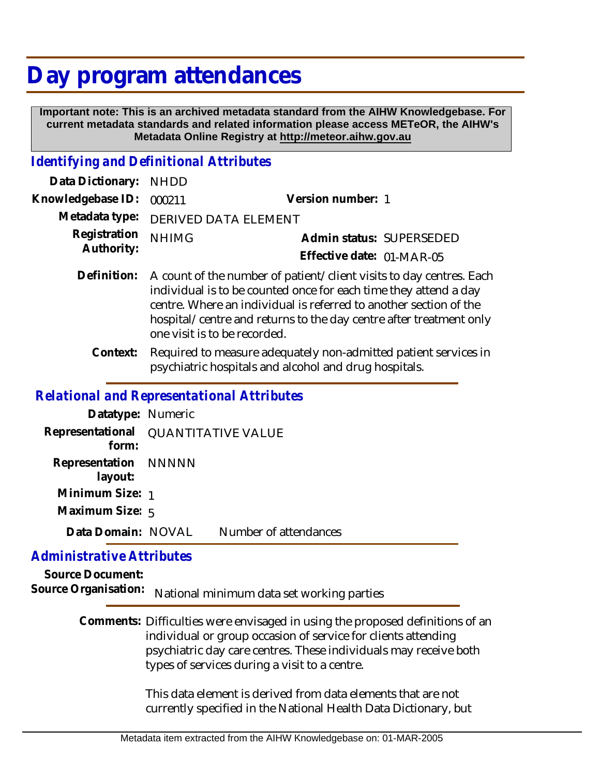## **Day program attendances**

 **Important note: This is an archived metadata standard from the AIHW Knowledgebase. For current metadata standards and related information please access METeOR, the AIHW's Metadata Online Registry at http://meteor.aihw.gov.au**

## *Identifying and Definitional Attributes*

| Data Dictionary: NHDD            |                                     |                           |
|----------------------------------|-------------------------------------|---------------------------|
| Knowledgebase ID: 000211         |                                     | Version number: 1         |
|                                  | Metadata type: DERIVED DATA ELEMENT |                           |
| Registration NHIMG<br>Authority: |                                     | Admin status: SUPERSEDED  |
|                                  |                                     | Effective date: 01-MAR-05 |
|                                  |                                     |                           |

- Definition: A count of the number of patient/client visits to day centres. Each individual is to be counted once for each time they attend a day centre. Where an individual is referred to another section of the hospital/centre and returns to the day centre after treatment only one visit is to be recorded.
	- Required to measure adequately non-admitted patient services in psychiatric hospitals and alcohol and drug hospitals. **Context:**

## *Relational and Representational Attributes*

| Datatype: Numeric               |                                     |                       |
|---------------------------------|-------------------------------------|-----------------------|
| form:                           | Representational QUANTITATIVE VALUE |                       |
| Representation NNNNN<br>layout: |                                     |                       |
| Minimum Size: 1                 |                                     |                       |
| Maximum Size: 5                 |                                     |                       |
| Data Domain: NOVAL              |                                     | Number of attendances |

## *Administrative Attributes*

**Source Document:** Source Organisation: National minimum data set working parties

> Comments: Difficulties were envisaged in using the proposed definitions of an individual or group occasion of service for clients attending psychiatric day care centres. These individuals may receive both types of services during a visit to a centre.

> > This data element is derived from data elements that are not currently specified in the National Health Data Dictionary, but